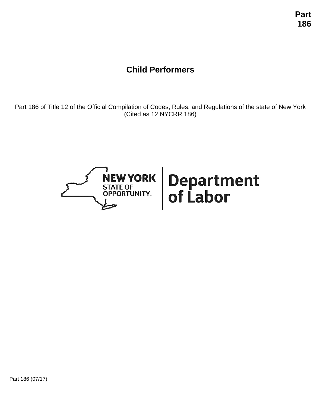# **Child Performers**

Part 186 of Title 12 of the Official Compilation of Codes, Rules, and Regulations of the state of New York (Cited as 12 NYCRR 186)

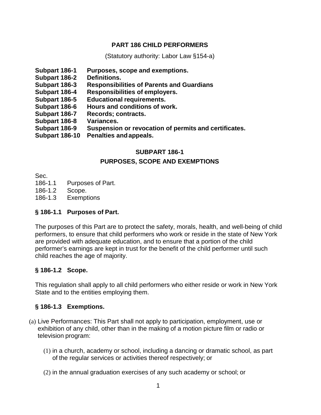## **PART 186 CHILD PERFORMERS**

(Statutory authority: Labor Law §154-a)

- **Subpart 186-1 Purposes, scope and exemptions.**
- **Subpart 186-2**
- **Subpart 186-3 Responsibilities of Parents and Guardians**
- **Subpart 186-4 Responsibilities of employers.**
- **Subpart 186-5 Educational requirements.**
- **Subpart 186-6 Hours and conditions of work.**
- **Subpart 186-7 Records; contracts.**
- **Subpart 186-8 Variances.**
- **Subpart 186-9 Suspension or revocation of permits and certificates.**
- **Subpart 186-10 Penalties andappeals.**

## **SUBPART 186-1 PURPOSES, SCOPE AND EXEMPTIONS**

Sec.

186-1.1 Purposes of Part.

- 186-1.2 Scope.
- 186-1.3 Exemptions

## **§ 186-1.1 Purposes of Part.**

The purposes of this Part are to protect the safety, morals, health, and well-being of child performers, to ensure that child performers who work or reside in the state of New York are provided with adequate education, and to ensure that a portion of the child performer's earnings are kept in trust for the benefit of the child performer until such child reaches the age of majority.

## **§ 186-1.2 Scope.**

This regulation shall apply to all child performers who either reside or work in New York State and to the entities employing them.

## **§ 186-1.3 Exemptions.**

- (a) Live Performances: This Part shall not apply to participation, employment, use or exhibition of any child, other than in the making of a motion picture film or radio or television program:
	- (1) in a church, academy or school, including a dancing or dramatic school, as part of the regular services or activities thereof respectively; or
	- (2) in the annual graduation exercises of any such academy or school; or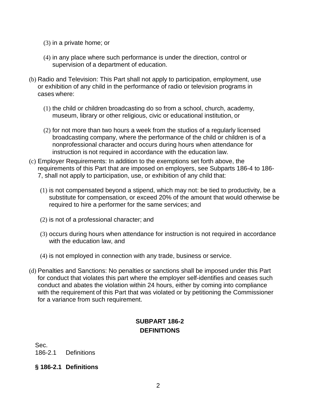- (3) in a private home; or
- (4) in any place where such performance is under the direction, control or supervision of a department of education.
- (b) Radio and Television: This Part shall not apply to participation, employment, use or exhibition of any child in the performance of radio or television programs in cases where:
	- (1) the child or children broadcasting do so from a school, church, academy, museum, library or other religious, civic or educational institution, or
	- (2) for not more than two hours a week from the studios of a regularly licensed broadcasting company, where the performance of the child or children is of a nonprofessional character and occurs during hours when attendance for instruction is not required in accordance with the education law.
- (c) Employer Requirements: In addition to the exemptions set forth above, the requirements of this Part that are imposed on employers, see Subparts 186-4 to 186- 7, shall not apply to participation, use, or exhibition of any child that:
	- (1) is not compensated beyond a stipend, which may not: be tied to productivity, be a substitute for compensation, or exceed 20% of the amount that would otherwise be required to hire a performer for the same services; and
	- (2) is not of a professional character; and
	- (3) occurs during hours when attendance for instruction is not required in accordance with the education law, and
	- (4) is not employed in connection with any trade, business or service.
- (d) Penalties and Sanctions: No penalties or sanctions shall be imposed under this Part for conduct that violates this part where the employer self-identifies and ceases such conduct and abates the violation within 24 hours, either by coming into compliance with the requirement of this Part that was violated or by petitioning the Commissioner for a variance from such requirement.

## **SUBPART 186-2 DEFINITIONS**

Sec.

186-2.1 Definitions

#### **§ 186-2.1 Definitions**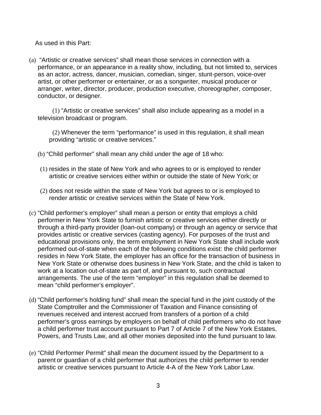As used in this Part:

(a) "Artistic or creative services" shall mean those services in connection with a performance, or an appearance in a reality show, including, but not limited to, services as an actor, actress, dancer, musician, comedian, singer, stunt-person, voice-over artist, or other performer or entertainer, or as a songwriter, musical producer or arranger, writer, director, producer, production executive, choreographer, composer, conductor, or designer.

(1) "Artistic or creative services" shall also include appearing as a model in a television broadcast or program.

(2) Whenever the term "performance" is used in this regulation, it shall mean providing "artistic or creative services."

- (b) "Child performer" shall mean any child under the age of 18 who:
- (1) resides in the state of New York and who agrees to or is employed to render artistic or creative services either within or outside the state of New York; or
- (2) does not reside within the state of New York but agrees to or is employed to render artistic or creative services within the State of New York.
- (c) "Child performer's employer" shall mean a person or entity that employs a child performer in New York State to furnish artistic or creative services either directly or through a third-party provider (loan-out company) or through an agency or service that provides artistic or creative services (casting agency). For purposes of the trust and educational provisions only, the term employment in New York State shall include work performed out-of-state when each of the following conditions exist: the child performer resides in New York State, the employer has an office for the transaction of business in New York State or otherwise does business in New York State, and the child is taken to work at a location out-of-state as part of, and pursuant to, such contractual arrangements. The use of the term "employer" in this regulation shall be deemed to mean "child performer's employer".
- (d) "Child performer's holding fund" shall mean the special fund in the joint custody of the State Comptroller and the Commissioner of Taxation and Finance consisting of revenues received and interest accrued from transfers of a portion of a child performer's gross earnings by employers on behalf of child performers who do not have a child performer trust account pursuant to Part 7 of Article 7 of the New York Estates, Powers, and Trusts Law, and all other monies deposited into the fund pursuant to law.
- (e) "Child Performer Permit" shall mean the document issued by the Department to a parent or guardian of a child performer that authorizes the child performer to render artistic or creative services pursuant to Article 4-A of the New York Labor Law.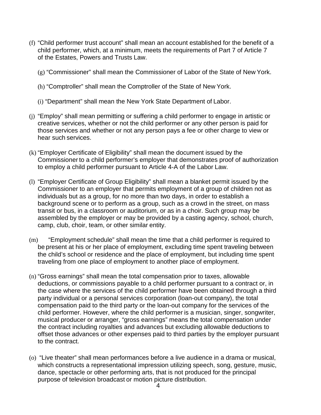- (f) "Child performer trust account" shall mean an account established for the benefit of a child performer, which, at a minimum, meets the requirements of Part 7 of Article 7 of the Estates, Powers and Trusts Law.
	- (g) "Commissioner" shall mean the Commissioner of Labor of the State of New York.
	- (h) "Comptroller" shall mean the Comptroller of the State of New York.
	- (i) "Department" shall mean the New York State Department of Labor.
- (j) "Employ" shall mean permitting or suffering a child performer to engage in artistic or creative services, whether or not the child performer or any other person is paid for those services and whether or not any person pays a fee or other charge to view or hear such services.
- (k) "Employer Certificate of Eligibility" shall mean the document issued by the Commissioner to a child performer's employer that demonstrates proof of authorization to employ a child performer pursuant to Article 4-A of the Labor Law.
- (l) "Employer Certificate of Group Eligibility" shall mean a blanket permit issued by the Commissioner to an employer that permits employment of a group of children not as individuals but as a group, for no more than two days, in order to establish a background scene or to perform as a group, such as a crowd in the street, on mass transit or bus, in a classroom or auditorium, or as in a choir. Such group may be assembled by the employer or may be provided by a casting agency, school, church, camp, club, choir, team, or other similar entity.
- (m) "Employment schedule" shall mean the time that a child performer is required to be present at his or her place of employment, excluding time spent traveling between the child's school or residence and the place of employment, but including time spent traveling from one place of employment to another place of employment.
- (n) "Gross earnings" shall mean the total compensation prior to taxes, allowable deductions, or commissions payable to a child performer pursuant to a contract or, in the case where the services of the child performer have been obtained through a third party individual or a personal services corporation (loan-out company), the total compensation paid to the third party or the loan-out company for the services of the child performer. However, where the child performer is a musician, singer, songwriter, musical producer or arranger, "gross earnings" means the total compensation under the contract including royalties and advances but excluding allowable deductions to offset those advances or other expenses paid to third parties by the employer pursuant to the contract.
- (o) "Live theater" shall mean performances before a live audience in a drama or musical, which constructs a representational impression utilizing speech, song, gesture, music, dance, spectacle or other performing arts, that is not produced for the principal purpose of television broadcast or motion picture distribution.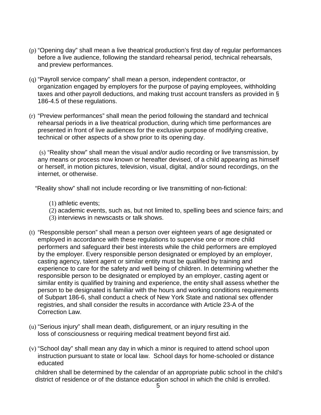- (p) "Opening day" shall mean a live theatrical production's first day of regular performances before a live audience, following the standard rehearsal period, technical rehearsals, and preview performances.
- (q) "Payroll service company" shall mean a person, independent contractor, or organization engaged by employers for the purpose of paying employees, withholding taxes and other payroll deductions, and making trust account transfers as provided in § 186-4.5 of these regulations.
- (r) "Preview performances" shall mean the period following the standard and technical rehearsal periods in a live theatrical production, during which time performances are presented in front of live audiences for the exclusive purpose of modifying creative, technical or other aspects of a show prior to its opening day.

(s) "Reality show" shall mean the visual and/or audio recording or live transmission, by any means or process now known or hereafter devised, of a child appearing as himself or herself, in motion pictures, television, visual, digital, and/or sound recordings, on the internet, or otherwise.

"Reality show" shall not include recording or live transmitting of non-fictional:

- (1) athletic events;
- (2) academic events, such as, but not limited to, spelling bees and science fairs; and
- (3) interviews in newscasts or talk shows.
- (t) "Responsible person" shall mean a person over eighteen years of age designated or employed in accordance with these regulations to supervise one or more child performers and safeguard their best interests while the child performers are employed by the employer. Every responsible person designated or employed by an employer, casting agency, talent agent or similar entity must be qualified by training and experience to care for the safety and well being of children. In determining whether the responsible person to be designated or employed by an employer, casting agent or similar entity is qualified by training and experience, the entity shall assess whether the person to be designated is familiar with the hours and working conditions requirements of Subpart 186-6, shall conduct a check of New York State and national sex offender registries, and shall consider the results in accordance with Article 23-A of the Correction Law.
- (u) "Serious injury" shall mean death, disfigurement, or an injury resulting in the loss of consciousness or requiring medical treatment beyond first aid.
- (v) "School day" shall mean any day in which a minor is required to attend school upon instruction pursuant to state or local law. School days for home-schooled or distance educated

children shall be determined by the calendar of an appropriate public school in the child's district of residence or of the distance education school in which the child is enrolled.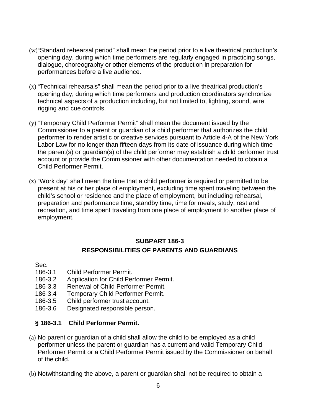- (w)"Standard rehearsal period" shall mean the period prior to a live theatrical production's opening day, during which time performers are regularly engaged in practicing songs, dialogue, choreography or other elements of the production in preparation for performances before a live audience.
- (x) "Technical rehearsals" shall mean the period prior to a live theatrical production's opening day, during which time performers and production coordinators synchronize technical aspects of a production including, but not limited to, lighting, sound, wire rigging and cue controls.
- (y) "Temporary Child Performer Permit" shall mean the document issued by the Commissioner to a parent or guardian of a child performer that authorizes the child performer to render artistic or creative services pursuant to Article 4-A of the New York Labor Law for no longer than fifteen days from its date of issuance during which time the parent(s) or guardian(s) of the child performer may establish a child performer trust account or provide the Commissioner with other documentation needed to obtain a Child Performer Permit.
- (z) "Work day" shall mean the time that a child performer is required or permitted to be present at his or her place of employment, excluding time spent traveling between the child's school or residence and the place of employment, but including rehearsal, preparation and performance time, standby time, time for meals, study, rest and recreation, and time spent traveling from one place of employment to another place of employment.

## **SUBPART 186-3 RESPONSIBILITIES OF PARENTS AND GUARDIANS**

Sec.

- 186-3.1 Child Performer Permit.
- 186-3.2 Application for Child Performer Permit.
- 186-3.3 Renewal of Child Performer Permit.
- 186-3.4 Temporary Child Performer Permit.
- 186-3.5 Child performer trust account.
- 186-3.6 Designated responsible person.

## **§ 186-3.1 Child Performer Permit.**

- (a) No parent or guardian of a child shall allow the child to be employed as a child performer unless the parent or guardian has a current and valid Temporary Child Performer Permit or a Child Performer Permit issued by the Commissioner on behalf of the child.
- (b) Notwithstanding the above, a parent or guardian shall not be required to obtain a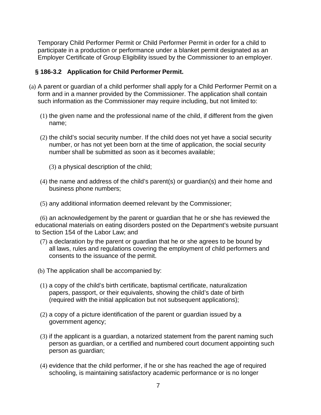Temporary Child Performer Permit or Child Performer Permit in order for a child to participate in a production or performance under a blanket permit designated as an Employer Certificate of Group Eligibility issued by the Commissioner to an employer.

#### **§ 186-3.2 Application for Child Performer Permit.**

- (a) A parent or guardian of a child performer shall apply for a Child Performer Permit on a form and in a manner provided by the Commissioner. The application shall contain such information as the Commissioner may require including, but not limited to:
	- (1) the given name and the professional name of the child, if different from the given name;
	- (2) the child's social security number. If the child does not yet have a social security number, or has not yet been born at the time of application, the social security number shall be submitted as soon as it becomes available;
		- (3) a physical description of the child;
	- (4) the name and address of the child's parent(s) or guardian(s) and their home and business phone numbers;
	- (5) any additional information deemed relevant by the Commissioner;

(6) an acknowledgement by the parent or guardian that he or she has reviewed the educational materials on eating disorders posted on the Department's website pursuant to Section 154 of the Labor Law; and

- (7) a declaration by the parent or guardian that he or she agrees to be bound by all laws, rules and regulations covering the employment of child performers and consents to the issuance of the permit.
- (b) The application shall be accompanied by:
- (1) a copy of the child's birth certificate, baptismal certificate, naturalization papers, passport, or their equivalents, showing the child's date of birth (required with the initial application but not subsequent applications);
- (2) a copy of a picture identification of the parent or guardian issued by a government agency;
- (3) if the applicant is a guardian, a notarized statement from the parent naming such person as guardian, or a certified and numbered court document appointing such person as guardian;
- (4) evidence that the child performer, if he or she has reached the age of required schooling, is maintaining satisfactory academic performance or is no longer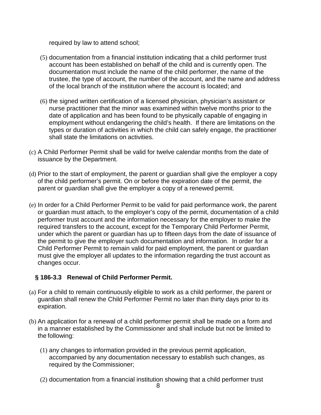required by law to attend school;

- (5) documentation from a financial institution indicating that a child performer trust account has been established on behalf of the child and is currently open. The documentation must include the name of the child performer, the name of the trustee, the type of account, the number of the account, and the name and address of the local branch of the institution where the account is located; and
- (6) the signed written certification of a licensed physician, physician's assistant or nurse practitioner that the minor was examined within twelve months prior to the date of application and has been found to be physically capable of engaging in employment without endangering the child's health. If there are limitations on the types or duration of activities in which the child can safely engage, the practitioner shall state the limitations on activities.
- (c) A Child Performer Permit shall be valid for twelve calendar months from the date of issuance by the Department.
- (d) Prior to the start of employment, the parent or guardian shall give the employer a copy of the child performer's permit. On or before the expiration date of the permit, the parent or guardian shall give the employer a copy of a renewed permit.
- (e) In order for a Child Performer Permit to be valid for paid performance work, the parent or guardian must attach, to the employer's copy of the permit, documentation of a child performer trust account and the information necessary for the employer to make the required transfers to the account, except for the Temporary Child Performer Permit, under which the parent or guardian has up to fifteen days from the date of issuance of the permit to give the employer such documentation and information. In order for a Child Performer Permit to remain valid for paid employment, the parent or guardian must give the employer all updates to the information regarding the trust account as changes occur.

## **§ 186-3.3 Renewal of Child Performer Permit.**

- (a) For a child to remain continuously eligible to work as a child performer, the parent or guardian shall renew the Child Performer Permit no later than thirty days prior to its expiration.
- (b) An application for a renewal of a child performer permit shall be made on a form and in a manner established by the Commissioner and shall include but not be limited to the following:
	- (1) any changes to information provided in the previous permit application, accompanied by any documentation necessary to establish such changes, as required by the Commissioner;
	- (2) documentation from a financial institution showing that a child performer trust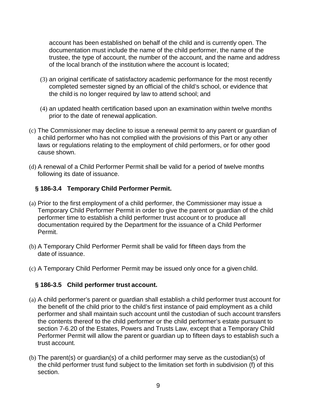account has been established on behalf of the child and is currently open. The documentation must include the name of the child performer, the name of the trustee, the type of account, the number of the account, and the name and address of the local branch of the institution where the account is located;

- (3) an original certificate of satisfactory academic performance for the most recently completed semester signed by an official of the child's school, or evidence that the child is no longer required by law to attend school; and
- (4) an updated health certification based upon an examination within twelve months prior to the date of renewal application.
- (c) The Commissioner may decline to issue a renewal permit to any parent or guardian of a child performer who has not complied with the provisions of this Part or any other laws or regulations relating to the employment of child performers, or for other good cause shown.
- (d) A renewal of a Child Performer Permit shall be valid for a period of twelve months following its date of issuance.

#### **§ 186-3.4 Temporary Child Performer Permit.**

- (a) Prior to the first employment of a child performer, the Commissioner may issue a Temporary Child Performer Permit in order to give the parent or guardian of the child performer time to establish a child performer trust account or to produce all documentation required by the Department for the issuance of a Child Performer Permit.
- (b) A Temporary Child Performer Permit shall be valid for fifteen days from the date of issuance.
- (c) A Temporary Child Performer Permit may be issued only once for a given child.

#### **§ 186-3.5 Child performer trust account.**

- (a) A child performer's parent or guardian shall establish a child performer trust account for the benefit of the child prior to the child's first instance of paid employment as a child performer and shall maintain such account until the custodian of such account transfers the contents thereof to the child performer or the child performer's estate pursuant to section 7-6.20 of the Estates, Powers and Trusts Law, except that a Temporary Child Performer Permit will allow the parent or guardian up to fifteen days to establish such a trust account.
- (b) The parent(s) or guardian(s) of a child performer may serve as the custodian(s) of the child performer trust fund subject to the limitation set forth in subdivision (f) of this section.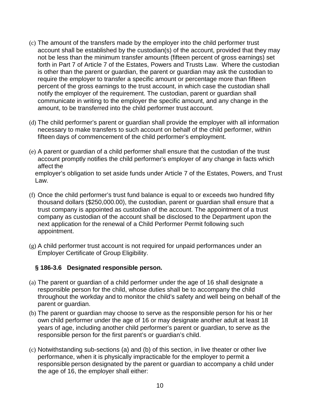- (c) The amount of the transfers made by the employer into the child performer trust account shall be established by the custodian(s) of the account, provided that they may not be less than the minimum transfer amounts (fifteen percent of gross earnings) set forth in Part 7 of Article 7 of the Estates, Powers and Trusts Law. Where the custodian is other than the parent or guardian, the parent or guardian may ask the custodian to require the employer to transfer a specific amount or percentage more than fifteen percent of the gross earnings to the trust account, in which case the custodian shall notify the employer of the requirement. The custodian, parent or guardian shall communicate in writing to the employer the specific amount, and any change in the amount, to be transferred into the child performer trust account.
- (d) The child performer's parent or guardian shall provide the employer with all information necessary to make transfers to such account on behalf of the child performer, within fifteen days of commencement of the child performer's employment.
- (e) A parent or guardian of a child performer shall ensure that the custodian of the trust account promptly notifies the child performer's employer of any change in facts which affect the

employer's obligation to set aside funds under Article 7 of the Estates, Powers, and Trust Law.

- (f) Once the child performer's trust fund balance is equal to or exceeds two hundred fifty thousand dollars (\$250,000.00), the custodian, parent or guardian shall ensure that a trust company is appointed as custodian of the account. The appointment of a trust company as custodian of the account shall be disclosed to the Department upon the next application for the renewal of a Child Performer Permit following such appointment.
- (g) A child performer trust account is not required for unpaid performances under an Employer Certificate of Group Eligibility.

## **§ 186-3.6 Designated responsible person.**

- (a) The parent or guardian of a child performer under the age of 16 shall designate a responsible person for the child, whose duties shall be to accompany the child throughout the workday and to monitor the child's safety and well being on behalf of the parent or guardian.
- (b) The parent or guardian may choose to serve as the responsible person for his or her own child performer under the age of 16 or may designate another adult at least 18 years of age, including another child performer's parent or guardian, to serve as the responsible person for the first parent's or guardian's child.
- (c) Notwithstanding sub-sections (a) and (b) of this section, in live theater or other live performance, when it is physically impracticable for the employer to permit a responsible person designated by the parent or guardian to accompany a child under the age of 16, the employer shall either: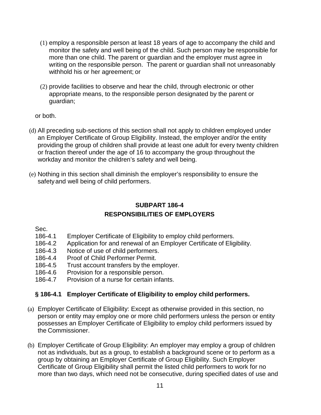- (1) employ a responsible person at least 18 years of age to accompany the child and monitor the safety and well being of the child. Such person may be responsible for more than one child. The parent or guardian and the employer must agree in writing on the responsible person. The parent or guardian shall not unreasonably withhold his or her agreement; or
- (2) provide facilities to observe and hear the child, through electronic or other appropriate means, to the responsible person designated by the parent or guardian;

or both.

- (d) All preceding sub-sections of this section shall not apply to children employed under an Employer Certificate of Group Eligibility. Instead, the employer and/or the entity providing the group of children shall provide at least one adult for every twenty children or fraction thereof under the age of 16 to accompany the group throughout the workday and monitor the children's safety and well being.
- (e) Nothing in this section shall diminish the employer's responsibility to ensure the safetyand well being of child performers.

## **SUBPART 186-4 RESPONSIBILITIES OF EMPLOYERS**

Sec.

- 186-4.1 Employer Certificate of Eligibility to employ child performers.
- 186-4.2 Application for and renewal of an Employer Certificate of Eligibility.
- 186-4.3 Notice of use of child performers.
- 186-4.4 Proof of Child Performer Permit.
- 186-4.5 Trust account transfers by the employer.
- 186-4.6 Provision for a responsible person.
- 186-4.7 Provision of a nurse for certain infants.

## **§ 186-4.1 Employer Certificate of Eligibility to employ child performers.**

- (a) Employer Certificate of Eligibility: Except as otherwise provided in this section, no person or entity may employ one or more child performers unless the person or entity possesses an Employer Certificate of Eligibility to employ child performers issued by the Commissioner.
- (b) Employer Certificate of Group Eligibility: An employer may employ a group of children not as individuals, but as a group, to establish a background scene or to perform as a group by obtaining an Employer Certificate of Group Eligibility. Such Employer Certificate of Group Eligibility shall permit the listed child performers to work for no more than two days, which need not be consecutive, during specified dates of use and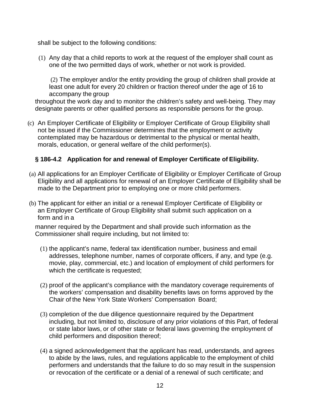shall be subject to the following conditions:

(1) Any day that a child reports to work at the request of the employer shall count as one of the two permitted days of work, whether or not work is provided.

(2) The employer and/or the entity providing the group of children shall provide at least one adult for every 20 children or fraction thereof under the age of 16 to accompany the group

throughout the work day and to monitor the children's safety and well-being. They may designate parents or other qualified persons as responsible persons for the group.

(c) An Employer Certificate of Eligibility or Employer Certificate of Group Eligibility shall not be issued if the Commissioner determines that the employment or activity contemplated may be hazardous or detrimental to the physical or mental health, morals, education, or general welfare of the child performer(s).

## **§ 186-4.2 Application for and renewal of Employer Certificate of Eligibility.**

- (a) All applications for an Employer Certificate of Eligibility or Employer Certificate of Group Eligibility and all applications for renewal of an Employer Certificate of Eligibility shall be made to the Department prior to employing one or more child performers.
- (b) The applicant for either an initial or a renewal Employer Certificate of Eligibility or an Employer Certificate of Group Eligibility shall submit such application on a form and in a

manner required by the Department and shall provide such information as the Commissioner shall require including, but not limited to:

- (1) the applicant's name, federal tax identification number, business and email addresses, telephone number, names of corporate officers, if any, and type (e.g. movie, play, commercial, etc.) and location of employment of child performers for which the certificate is requested;
- (2) proof of the applicant's compliance with the mandatory coverage requirements of the workers' compensation and disability benefits laws on forms approved by the Chair of the New York State Workers' Compensation Board;
- (3) completion of the due diligence questionnaire required by the Department including, but not limited to, disclosure of any prior violations of this Part, of federal or state labor laws, or of other state or federal laws governing the employment of child performers and disposition thereof;
- (4) a signed acknowledgement that the applicant has read, understands, and agrees to abide by the laws, rules, and regulations applicable to the employment of child performers and understands that the failure to do so may result in the suspension or revocation of the certificate or a denial of a renewal of such certificate; and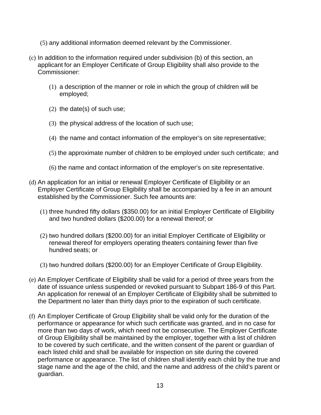- (5) any additional information deemed relevant by the Commissioner.
- (c) In addition to the information required under subdivision (b) of this section, an applicant for an Employer Certificate of Group Eligibility shall also provide to the Commissioner:
	- (1) a description of the manner or role in which the group of children will be employed;
	- (2) the date(s) of such use;
	- (3) the physical address of the location of such use;
	- (4) the name and contact information of the employer's on site representative;
	- (5) the approximate number of children to be employed under such certificate; and
	- (6) the name and contact information of the employer's on site representative.
- (d) An application for an initial or renewal Employer Certificate of Eligibility or an Employer Certificate of Group Eligibility shall be accompanied by a fee in an amount established by the Commissioner. Such fee amounts are:
	- (1) three hundred fifty dollars (\$350.00) for an initial Employer Certificate of Eligibility and two hundred dollars (\$200.00) for a renewal thereof; or
	- (2) two hundred dollars (\$200.00) for an initial Employer Certificate of Eligibility or renewal thereof for employers operating theaters containing fewer than five hundred seats; or
	- (3) two hundred dollars (\$200.00) for an Employer Certificate of Group Eligibility.
- (e) An Employer Certificate of Eligibility shall be valid for a period of three years from the date of issuance unless suspended or revoked pursuant to Subpart 186-9 of this Part. An application for renewal of an Employer Certificate of Eligibility shall be submitted to the Department no later than thirty days prior to the expiration of such certificate.
- (f) An Employer Certificate of Group Eligibility shall be valid only for the duration of the performance or appearance for which such certificate was granted, and in no case for more than two days of work, which need not be consecutive. The Employer Certificate of Group Eligibility shall be maintained by the employer, together with a list of children to be covered by such certificate, and the written consent of the parent or guardian of each listed child and shall be available for inspection on site during the covered performance or appearance. The list of children shall identify each child by the true and stage name and the age of the child, and the name and address of the child's parent or guardian.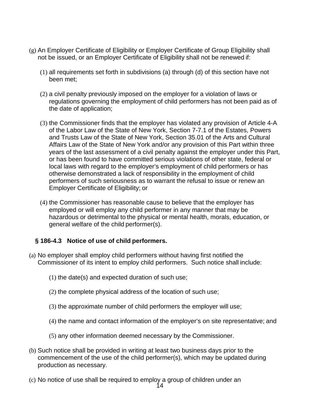- (g) An Employer Certificate of Eligibility or Employer Certificate of Group Eligibility shall not be issued, or an Employer Certificate of Eligibility shall not be renewed if:
	- (1) all requirements set forth in subdivisions (a) through (d) of this section have not been met;
	- (2) a civil penalty previously imposed on the employer for a violation of laws or regulations governing the employment of child performers has not been paid as of the date of application;
	- (3) the Commissioner finds that the employer has violated any provision of Article 4-A of the Labor Law of the State of New York, Section 7-7.1 of the Estates, Powers and Trusts Law of the State of New York, Section 35.01 of the Arts and Cultural Affairs Law of the State of New York and/or any provision of this Part within three years of the last assessment of a civil penalty against the employer under this Part, or has been found to have committed serious violations of other state, federal or local laws with regard to the employer's employment of child performers or has otherwise demonstrated a lack of responsibility in the employment of child performers of such seriousness as to warrant the refusal to issue or renew an Employer Certificate of Eligibility; or
	- (4) the Commissioner has reasonable cause to believe that the employer has employed or will employ any child performer in any manner that may be hazardous or detrimental to the physical or mental health, morals, education, or general welfare of the child performer(s).

## **§ 186-4.3 Notice of use of child performers.**

- (a) No employer shall employ child performers without having first notified the Commissioner of its intent to employ child performers. Such notice shall include:
	- (1) the date(s) and expected duration of such use;
	- (2) the complete physical address of the location of such use;
	- (3) the approximate number of child performers the employer will use;
	- (4) the name and contact information of the employer's on site representative; and
	- (5) any other information deemed necessary by the Commissioner.
- (b) Such notice shall be provided in writing at least two business days prior to the commencement of the use of the child performer(s), which may be updated during production as necessary.
- (c) No notice of use shall be required to employ a group of children under an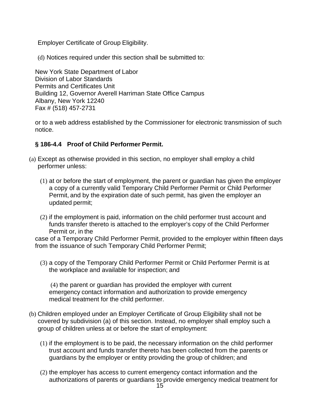Employer Certificate of Group Eligibility.

(d) Notices required under this section shall be submitted to:

New York State Department of Labor Division of Labor Standards Permits and Certificates Unit Building 12, Governor Averell Harriman State Office Campus Albany, New York 12240 Fax # (518) 457-2731

or to a web address established by the Commissioner for electronic transmission of such notice.

## **§ 186-4.4 Proof of Child Performer Permit.**

- (a) Except as otherwise provided in this section, no employer shall employ a child performer unless:
	- (1) at or before the start of employment, the parent or guardian has given the employer a copy of a currently valid Temporary Child Performer Permit or Child Performer Permit, and by the expiration date of such permit, has given the employer an updated permit;
	- (2) if the employment is paid, information on the child performer trust account and funds transfer thereto is attached to the employer's copy of the Child Performer Permit or, in the

case of a Temporary Child Performer Permit, provided to the employer within fifteen days from the issuance of such Temporary Child Performer Permit;

(3) a copy of the Temporary Child Performer Permit or Child Performer Permit is at the workplace and available for inspection; and

(4) the parent or guardian has provided the employer with current emergency contact information and authorization to provide emergency medical treatment for the child performer.

- (b) Children employed under an Employer Certificate of Group Eligibility shall not be covered by subdivision (a) of this section. Instead, no employer shall employ such a group of children unless at or before the start of employment:
	- (1) if the employment is to be paid, the necessary information on the child performer trust account and funds transfer thereto has been collected from the parents or guardians by the employer or entity providing the group of children; and
	- (2) the employer has access to current emergency contact information and the authorizations of parents or guardians to provide emergency medical treatment for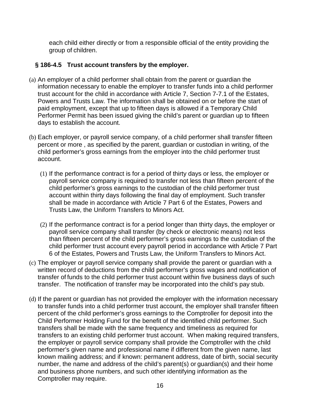each child either directly or from a responsible official of the entity providing the group of children.

#### **§ 186-4.5 Trust account transfers by the employer.**

- (a) An employer of a child performer shall obtain from the parent or guardian the information necessary to enable the employer to transfer funds into a child performer trust account for the child in accordance with Article 7, Section 7-7.1 of the Estates, Powers and Trusts Law. The information shall be obtained on or before the start of paid employment, except that up to fifteen days is allowed if a Temporary Child Performer Permit has been issued giving the child's parent or guardian up to fifteen days to establish the account.
- (b) Each employer, or payroll service company, of a child performer shall transfer fifteen percent or more , as specified by the parent, guardian or custodian in writing, of the child performer's gross earnings from the employer into the child performer trust account.
	- (1) If the performance contract is for a period of thirty days or less, the employer or payroll service company is required to transfer not less than fifteen percent of the child performer's gross earnings to the custodian of the child performer trust account within thirty days following the final day of employment. Such transfer shall be made in accordance with Article 7 Part 6 of the Estates, Powers and Trusts Law, the Uniform Transfers to Minors Act.
	- (2) If the performance contract is for a period longer than thirty days, the employer or payroll service company shall transfer (by check or electronic means) not less than fifteen percent of the child performer's gross earnings to the custodian of the child performer trust account every payroll period in accordance with Article 7 Part 6 of the Estates, Powers and Trusts Law, the Uniform Transfers to Minors Act.
- (c) The employer or payroll service company shall provide the parent or guardian with a written record of deductions from the child performer's gross wages and notification of transfer of funds to the child performer trust account within five business days of such transfer. The notification of transfer may be incorporated into the child's pay stub.
- (d) If the parent or guardian has not provided the employer with the information necessary to transfer funds into a child performer trust account, the employer shall transfer fifteen percent of the child performer's gross earnings to the Comptroller for deposit into the Child Performer Holding Fund for the benefit of the identified child performer. Such transfers shall be made with the same frequency and timeliness as required for transfers to an existing child performer trust account. When making required transfers, the employer or payroll service company shall provide the Comptroller with the child performer's given name and professional name if different from the given name, last known mailing address; and if known: permanent address, date of birth, social security number, the name and address of the child's parent(s) or guardian(s) and their home and business phone numbers, and such other identifying information as the Comptroller may require.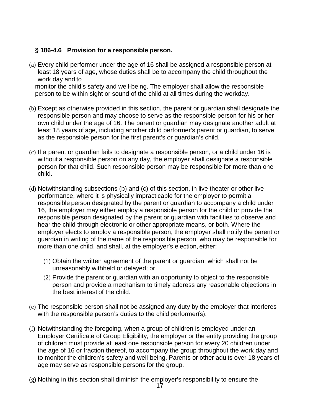## **§ 186-4.6 Provision for a responsible person.**

(a) Every child performer under the age of 16 shall be assigned a responsible person at least 18 years of age, whose duties shall be to accompany the child throughout the work day and to

monitor the child's safety and well-being. The employer shall allow the responsible person to be within sight or sound of the child at all times during the workday.

- (b) Except as otherwise provided in this section, the parent or guardian shall designate the responsible person and may choose to serve as the responsible person for his or her own child under the age of 16. The parent or guardian may designate another adult at least 18 years of age, including another child performer's parent or guardian, to serve as the responsible person for the first parent's or guardian's child.
- (c) If a parent or guardian fails to designate a responsible person, or a child under 16 is without a responsible person on any day, the employer shall designate a responsible person for that child. Such responsible person may be responsible for more than one child.
- (d) Notwithstanding subsections (b) and (c) of this section, in live theater or other live performance, where it is physically impracticable for the employer to permit a responsible person designated by the parent or guardian to accompany a child under 16, the employer may either employ a responsible person for the child or provide the responsible person designated by the parent or guardian with facilities to observe and hear the child through electronic or other appropriate means, or both. Where the employer elects to employ a responsible person, the employer shall notify the parent or guardian in writing of the name of the responsible person, who may be responsible for more than one child, and shall, at the employer's election, either:
	- (1) Obtain the written agreement of the parent or guardian, which shall not be unreasonably withheld or delayed; or
	- (2) Provide the parent or guardian with an opportunity to object to the responsible person and provide a mechanism to timely address any reasonable objections in the best interest of the child.
- (e) The responsible person shall not be assigned any duty by the employer that interferes with the responsible person's duties to the child performer(s).
- (f) Notwithstanding the foregoing, when a group of children is employed under an Employer Certificate of Group Eligibility, the employer or the entity providing the group of children must provide at least one responsible person for every 20 children under the age of 16 or fraction thereof, to accompany the group throughout the work day and to monitor the children's safety and well-being. Parents or other adults over 18 years of age may serve as responsible persons for the group.
- (g) Nothing in this section shall diminish the employer's responsibility to ensure the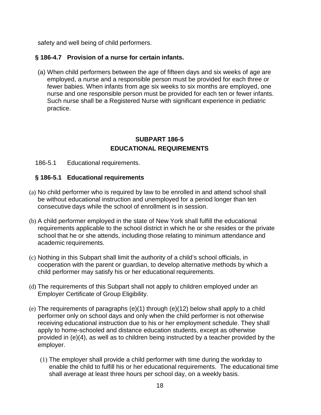safety and well being of child performers.

## **§ 186-4.7 Provision of a nurse for certain infants.**

(a) When child performers between the age of fifteen days and six weeks of age are employed, a nurse and a responsible person must be provided for each three or fewer babies. When infants from age six weeks to six months are employed, one nurse and one responsible person must be provided for each ten or fewer infants. Such nurse shall be a Registered Nurse with significant experience in pediatric practice.

## **SUBPART 186-5 EDUCATIONAL REQUIREMENTS**

#### 186-5.1 Educational requirements.

#### **§ 186-5.1 Educational requirements**

- (a) No child performer who is required by law to be enrolled in and attend school shall be without educational instruction and unemployed for a period longer than ten consecutive days while the school of enrollment is in session.
- (b) A child performer employed in the state of New York shall fulfill the educational requirements applicable to the school district in which he or she resides or the private school that he or she attends, including those relating to minimum attendance and academic requirements.
- (c) Nothing in this Subpart shall limit the authority of a child's school officials, in cooperation with the parent or guardian, to develop alternative methods by which a child performer may satisfy his or her educational requirements.
- (d) The requirements of this Subpart shall not apply to children employed under an Employer Certificate of Group Eligibility.
- (e) The requirements of paragraphs (e)(1) through (e)(12) below shall apply to a child performer only on school days and only when the child performer is not otherwise receiving educational instruction due to his or her employment schedule. They shall apply to home-schooled and distance education students, except as otherwise provided in (e)(4), as well as to children being instructed by a teacher provided by the employer.
	- (1) The employer shall provide a child performer with time during the workday to enable the child to fulfill his or her educational requirements. The educational time shall average at least three hours per school day, on a weekly basis.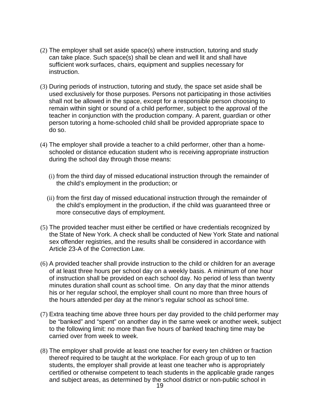- (2) The employer shall set aside space(s) where instruction, tutoring and study can take place. Such space(s) shall be clean and well lit and shall have sufficient work surfaces, chairs, equipment and supplies necessary for instruction.
- (3) During periods of instruction, tutoring and study, the space set aside shall be used exclusively for those purposes. Persons not participating in those activities shall not be allowed in the space, except for a responsible person choosing to remain within sight or sound of a child performer, subject to the approval of the teacher in conjunction with the production company. A parent, guardian or other person tutoring a home-schooled child shall be provided appropriate space to do so.
- (4) The employer shall provide a teacher to a child performer, other than a homeschooled or distance education student who is receiving appropriate instruction during the school day through those means:
	- (i) from the third day of missed educational instruction through the remainder of the child's employment in the production; or
	- (ii) from the first day of missed educational instruction through the remainder of the child's employment in the production, if the child was guaranteed three or more consecutive days of employment.
- (5) The provided teacher must either be certified or have credentials recognized by the State of New York. A check shall be conducted of New York State and national sex offender registries, and the results shall be considered in accordance with Article 23-A of the Correction Law.
- (6) A provided teacher shall provide instruction to the child or children for an average of at least three hours per school day on a weekly basis. A minimum of one hour of instruction shall be provided on each school day. No period of less than twenty minutes duration shall count as school time. On any day that the minor attends his or her regular school, the employer shall count no more than three hours of the hours attended per day at the minor's regular school as school time.
- (7) Extra teaching time above three hours per day provided to the child performer may be "banked" and "spent" on another day in the same week or another week, subject to the following limit: no more than five hours of banked teaching time may be carried over from week to week.
- (8) The employer shall provide at least one teacher for every ten children or fraction thereof required to be taught at the workplace. For each group of up to ten students, the employer shall provide at least one teacher who is appropriately certified or otherwise competent to teach students in the applicable grade ranges and subject areas, as determined by the school district or non-public school in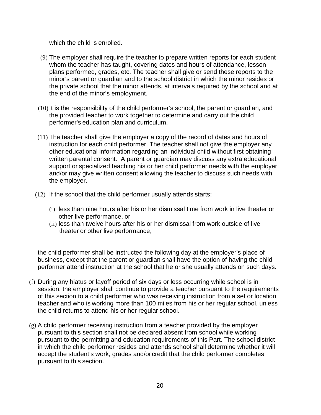which the child is enrolled.

- (9) The employer shall require the teacher to prepare written reports for each student whom the teacher has taught, covering dates and hours of attendance, lesson plans performed, grades, etc. The teacher shall give or send these reports to the minor's parent or guardian and to the school district in which the minor resides or the private school that the minor attends, at intervals required by the school and at the end of the minor's employment.
- $(10)$  It is the responsibility of the child performer's school, the parent or quardian, and the provided teacher to work together to determine and carry out the child performer's education plan and curriculum.
- (11) The teacher shall give the employer a copy of the record of dates and hours of instruction for each child performer. The teacher shall not give the employer any other educational information regarding an individual child without first obtaining written parental consent. A parent or guardian may discuss any extra educational support or specialized teaching his or her child performer needs with the employer and/or may give written consent allowing the teacher to discuss such needs with the employer.
- (12) If the school that the child performer usually attends starts:
	- (i) less than nine hours after his or her dismissal time from work in live theater or other live performance, or
	- (ii) less than twelve hours after his or her dismissal from work outside of live theater or other live performance,

the child performer shall be instructed the following day at the employer's place of business, except that the parent or guardian shall have the option of having the child performer attend instruction at the school that he or she usually attends on such days.

- (f) During any hiatus or layoff period of six days or less occurring while school is in session, the employer shall continue to provide a teacher pursuant to the requirements of this section to a child performer who was receiving instruction from a set or location teacher and who is working more than 100 miles from his or her regular school, unless the child returns to attend his or her regular school.
- (g) A child performer receiving instruction from a teacher provided by the employer pursuant to this section shall not be declared absent from school while working pursuant to the permitting and education requirements of this Part. The school district in which the child performer resides and attends school shall determine whether it will accept the student's work, grades and/or credit that the child performer completes pursuant to this section.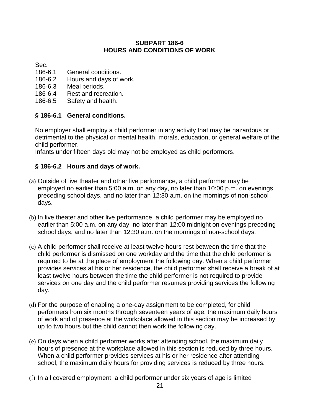#### **SUBPART 186-6 HOURS AND CONDITIONS OF WORK**

Sec.

- 186-6.1 General conditions.
- 186-6.2 Hours and days of work.
- 186-6.3 Meal periods.
- 186-6.4 Rest and recreation.
- 186-6.5 Safety and health.

#### **§ 186-6.1 General conditions.**

No employer shall employ a child performer in any activity that may be hazardous or detrimental to the physical or mental health, morals, education, or general welfare of the child performer.

Infants under fifteen days old may not be employed as child performers.

## **§ 186-6.2 Hours and days of work.**

- (a) Outside of live theater and other live performance, a child performer may be employed no earlier than 5:00 a.m. on any day, no later than 10:00 p.m. on evenings preceding school days, and no later than 12:30 a.m. on the mornings of non-school days.
- (b) In live theater and other live performance, a child performer may be employed no earlier than 5:00 a.m. on any day, no later than 12:00 midnight on evenings preceding school days, and no later than 12:30 a.m. on the mornings of non-school days.
- (c) A child performer shall receive at least twelve hours rest between the time that the child performer is dismissed on one workday and the time that the child performer is required to be at the place of employment the following day. When a child performer provides services at his or her residence, the child performer shall receive a break of at least twelve hours between the time the child performer is not required to provide services on one day and the child performer resumes providing services the following day.
- (d) For the purpose of enabling a one-day assignment to be completed, for child performers from six months through seventeen years of age, the maximum daily hours of work and of presence at the workplace allowed in this section may be increased by up to two hours but the child cannot then work the following day.
- (e) On days when a child performer works after attending school, the maximum daily hours of presence at the workplace allowed in this section is reduced by three hours. When a child performer provides services at his or her residence after attending school, the maximum daily hours for providing services is reduced by three hours.
- (f) In all covered employment, a child performer under six years of age is limited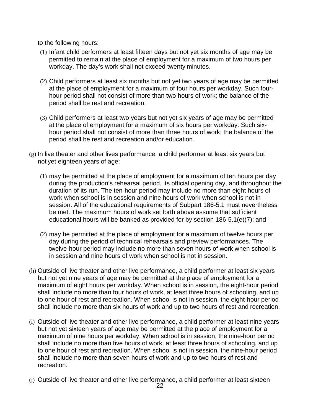to the following hours:

- (1) Infant child performers at least fifteen days but not yet six months of age may be permitted to remain at the place of employment for a maximum of two hours per workday. The day's work shall not exceed twenty minutes.
- (2) Child performers at least six months but not yet two years of age may be permitted at the place of employment for a maximum of four hours per workday. Such fourhour period shall not consist of more than two hours of work; the balance of the period shall be rest and recreation.
- (3) Child performers at least two years but not yet six years of age may be permitted at the place of employment for a maximum of six hours per workday. Such sixhour period shall not consist of more than three hours of work; the balance of the period shall be rest and recreation and/or education.
- $(g)$  In live theater and other lives performance, a child performer at least six years but not yet eighteen years of age:
	- (1) may be permitted at the place of employment for a maximum of ten hours per day during the production's rehearsal period, its official opening day, and throughout the duration of its run. The ten-hour period may include no more than eight hours of work when school is in session and nine hours of work when school is not in session. All of the educational requirements of Subpart 186-5.1 must nevertheless be met. The maximum hours of work set forth above assume that sufficient educational hours will be banked as provided for by section 186-5.1(e)(7); and
	- (2) may be permitted at the place of employment for a maximum of twelve hours per day during the period of technical rehearsals and preview performances. The twelve-hour period may include no more than seven hours of work when school is in session and nine hours of work when school is not in session.
- (h) Outside of live theater and other live performance, a child performer at least six years but not yet nine years of age may be permitted at the place of employment for a maximum of eight hours per workday. When school is in session, the eight-hour period shall include no more than four hours of work, at least three hours of schooling, and up to one hour of rest and recreation. When school is not in session, the eight-hour period shall include no more than six hours of work and up to two hours of rest and recreation.
- (i) Outside of live theater and other live performance, a child performer at least nine years but not yet sixteen years of age may be permitted at the place of employment for a maximum of nine hours per workday. When school is in session, the nine-hour period shall include no more than five hours of work, at least three hours of schooling, and up to one hour of rest and recreation. When school is not in session, the nine-hour period shall include no more than seven hours of work and up to two hours of rest and recreation.
- (j) Outside of live theater and other live performance, a child performer at least sixteen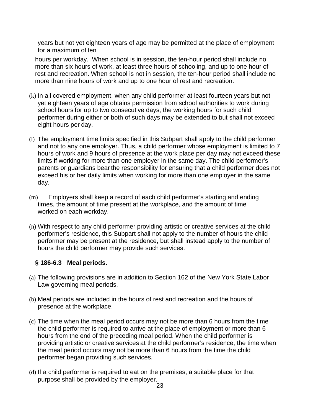years but not yet eighteen years of age may be permitted at the place of employment for a maximum of ten

hours per workday. When school is in session, the ten-hour period shall include no more than six hours of work, at least three hours of schooling, and up to one hour of rest and recreation. When school is not in session, the ten-hour period shall include no more than nine hours of work and up to one hour of rest and recreation.

- (k) In all covered employment, when any child performer at least fourteen years but not yet eighteen years of age obtains permission from school authorities to work during school hours for up to two consecutive days, the working hours for such child performer during either or both of such days may be extended to but shall not exceed eight hours per day.
- (l) The employment time limits specified in this Subpart shall apply to the child performer and not to any one employer. Thus, a child performer whose employment is limited to 7 hours of work and 9 hours of presence at the work place per day may not exceed these limits if working for more than one employer in the same day. The child performer's parents or guardians bear the responsibility for ensuring that a child performer does not exceed his or her daily limits when working for more than one employer in the same day.
- (m) Employers shall keep a record of each child performer's starting and ending times, the amount of time present at the workplace, and the amount of time worked on each workday.
- (n) With respect to any child performer providing artistic or creative services at the child performer's residence, this Subpart shall not apply to the number of hours the child performer may be present at the residence, but shall instead apply to the number of hours the child performer may provide such services.

## **§ 186-6.3 Meal periods.**

- (a) The following provisions are in addition to Section 162 of the New York State Labor Law governing meal periods.
- (b) Meal periods are included in the hours of rest and recreation and the hours of presence at the workplace.
- (c) The time when the meal period occurs may not be more than 6 hours from the time the child performer is required to arrive at the place of employment or more than 6 hours from the end of the preceding meal period. When the child performer is providing artistic or creative services at the child performer's residence, the time when the meal period occurs may not be more than 6 hours from the time the child performer began providing such services.
- (d) If a child performer is required to eat on the premises, a suitable place for that purpose shall be provided by the employer.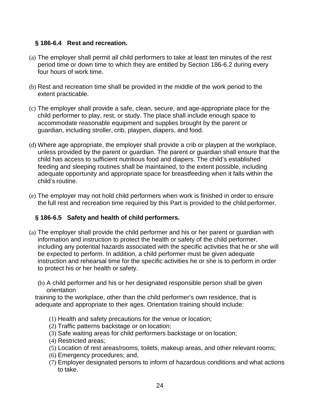## **§ 186-6.4 Rest and recreation.**

- (a) The employer shall permit all child performers to take at least ten minutes of the rest period time or down time to which they are entitled by Section 186-6.2 during every four hours of work time.
- (b) Rest and recreation time shall be provided in the middle of the work period to the extent practicable.
- (c) The employer shall provide a safe, clean, secure, and age-appropriate place for the child performer to play, rest, or study. The place shall include enough space to accommodate reasonable equipment and supplies brought by the parent or guardian, including stroller, crib, playpen, diapers, and food.
- (d) Where age appropriate, the employer shall provide a crib or playpen at the workplace, unless provided by the parent or guardian. The parent or guardian shall ensure that the child has access to sufficient nutritious food and diapers. The child's established feeding and sleeping routines shall be maintained, to the extent possible, including adequate opportunity and appropriate space for breastfeeding when it falls within the child's routine.
- (e) The employer may not hold child performers when work is finished in order to ensure the full rest and recreation time required by this Part is provided to the child performer.

## **§ 186-6.5 Safety and health of child performers.**

- (a) The employer shall provide the child performer and his or her parent or guardian with information and instruction to protect the health or safety of the child performer, including any potential hazards associated with the specific activities that he or she will be expected to perform. In addition, a child performer must be given adequate instruction and rehearsal time for the specific activities he or she is to perform in order to protect his or her health or safety.
	- (b) A child performer and his or her designated responsible person shall be given orientation

training to the workplace, other than the child performer's own residence, that is adequate and appropriate to their ages. Orientation training should include:

- (1) Health and safety precautions for the venue or location;
- (2) Traffic patterns backstage or on location;
- (3) Safe waiting areas for child performers backstage or on location;
- (4) Restricted areas;
- (5) Location of rest areas/rooms, toilets, makeup areas, and other relevant rooms;
- (6) Emergency procedures; and,
- (7) Employer designated persons to inform of hazardous conditions and what actions to take.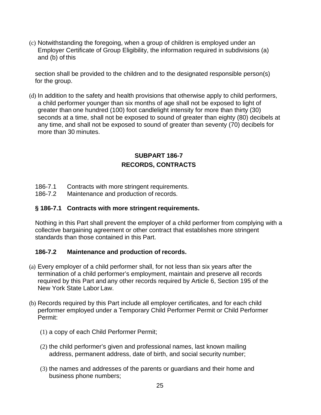(c) Notwithstanding the foregoing, when a group of children is employed under an Employer Certificate of Group Eligibility, the information required in subdivisions (a) and (b) of this

section shall be provided to the children and to the designated responsible person(s) for the group.

(d) In addition to the safety and health provisions that otherwise apply to child performers, a child performer younger than six months of age shall not be exposed to light of greater than one hundred (100) foot candlelight intensity for more than thirty (30) seconds at a time, shall not be exposed to sound of greater than eighty (80) decibels at any time, and shall not be exposed to sound of greater than seventy (70) decibels for more than 30 minutes.

## **SUBPART 186-7 RECORDS, CONTRACTS**

- 186-7.1 Contracts with more stringent requirements.
- 186-7.2 Maintenance and production of records.

### **§ 186-7.1 Contracts with more stringent requirements.**

Nothing in this Part shall prevent the employer of a child performer from complying with a collective bargaining agreement or other contract that establishes more stringent standards than those contained in this Part.

## **186-7.2 Maintenance and production of records.**

- (a) Every employer of a child performer shall, for not less than six years after the termination of a child performer's employment, maintain and preserve all records required by this Part and any other records required by Article 6, Section 195 of the New York State Labor Law.
- (b) Records required by this Part include all employer certificates, and for each child performer employed under a Temporary Child Performer Permit or Child Performer Permit:
	- (1) a copy of each Child Performer Permit;
	- (2) the child performer's given and professional names, last known mailing address, permanent address, date of birth, and social security number;
	- (3) the names and addresses of the parents or guardians and their home and business phone numbers;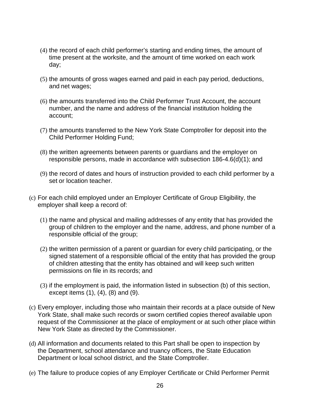- (4) the record of each child performer's starting and ending times, the amount of time present at the worksite, and the amount of time worked on each work day;
- (5) the amounts of gross wages earned and paid in each pay period, deductions, and net wages;
- (6) the amounts transferred into the Child Performer Trust Account, the account number, and the name and address of the financial institution holding the account;
- (7) the amounts transferred to the New York State Comptroller for deposit into the Child Performer Holding Fund;
- (8) the written agreements between parents or guardians and the employer on responsible persons, made in accordance with subsection 186-4.6(d)(1); and
- (9) the record of dates and hours of instruction provided to each child performer by a set or location teacher.
- (c) For each child employed under an Employer Certificate of Group Eligibility, the employer shall keep a record of:
	- (1) the name and physical and mailing addresses of any entity that has provided the group of children to the employer and the name, address, and phone number of a responsible official of the group;
	- (2) the written permission of a parent or guardian for every child participating, or the signed statement of a responsible official of the entity that has provided the group of children attesting that the entity has obtained and will keep such written permissions on file in its records; and
	- (3) if the employment is paid, the information listed in subsection (b) of this section, except items (1), (4), (8) and (9).
- (c) Every employer, including those who maintain their records at a place outside of New York State, shall make such records or sworn certified copies thereof available upon request of the Commissioner at the place of employment or at such other place within New York State as directed by the Commissioner.
- (d) All information and documents related to this Part shall be open to inspection by the Department, school attendance and truancy officers, the State Education Department or local school district, and the State Comptroller.
- (e) The failure to produce copies of any Employer Certificate or Child Performer Permit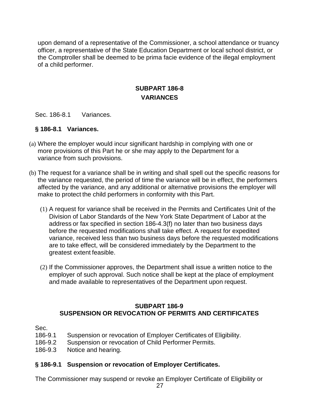upon demand of a representative of the Commissioner, a school attendance or truancy officer, a representative of the State Education Department or local school district, or the Comptroller shall be deemed to be prima facie evidence of the illegal employment of a child performer.

## **SUBPART 186-8 VARIANCES**

#### Sec. 186-8.1 Variances.

#### **§ 186-8.1 Variances.**

- (a) Where the employer would incur significant hardship in complying with one or more provisions of this Part he or she may apply to the Department for a variance from such provisions.
- (b) The request for a variance shall be in writing and shall spell out the specific reasons for the variance requested, the period of time the variance will be in effect, the performers affected by the variance, and any additional or alternative provisions the employer will make to protect the child performers in conformity with this Part.
	- (1) A request for variance shall be received in the Permits and Certificates Unit of the Division of Labor Standards of the New York State Department of Labor at the address or fax specified in section 186-4.3(f) no later than two business days before the requested modifications shall take effect. A request for expedited variance, received less than two business days before the requested modifications are to take effect, will be considered immediately by the Department to the greatest extent feasible.
	- (2) If the Commissioner approves, the Department shall issue a written notice to the employer of such approval. Such notice shall be kept at the place of employment and made available to representatives of the Department upon request.

#### **SUBPART 186-9 SUSPENSION OR REVOCATION OF PERMITS AND CERTIFICATES**

Sec.

- 186-9.1 Suspension or revocation of Employer Certificates of Eligibility.
- 186-9.2 Suspension or revocation of Child Performer Permits.
- 186-9.3 Notice and hearing.

#### **§ 186-9.1 Suspension or revocation of Employer Certificates.**

The Commissioner may suspend or revoke an Employer Certificate of Eligibility or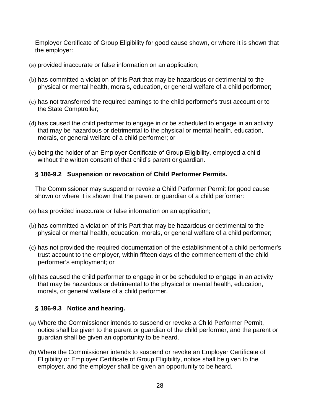Employer Certificate of Group Eligibility for good cause shown, or where it is shown that the employer:

- (a) provided inaccurate or false information on an application;
- (b) has committed a violation of this Part that may be hazardous or detrimental to the physical or mental health, morals, education, or general welfare of a child performer;
- (c) has not transferred the required earnings to the child performer's trust account or to the State Comptroller;
- (d) has caused the child performer to engage in or be scheduled to engage in an activity that may be hazardous or detrimental to the physical or mental health, education, morals, or general welfare of a child performer; or
- (e) being the holder of an Employer Certificate of Group Eligibility, employed a child without the written consent of that child's parent or guardian.

#### **§ 186-9.2 Suspension or revocation of Child Performer Permits.**

The Commissioner may suspend or revoke a Child Performer Permit for good cause shown or where it is shown that the parent or guardian of a child performer:

- (a) has provided inaccurate or false information on an application;
- (b) has committed a violation of this Part that may be hazardous or detrimental to the physical or mental health, education, morals, or general welfare of a child performer;
- (c) has not provided the required documentation of the establishment of a child performer's trust account to the employer, within fifteen days of the commencement of the child performer's employment; or
- (d) has caused the child performer to engage in or be scheduled to engage in an activity that may be hazardous or detrimental to the physical or mental health, education, morals, or general welfare of a child performer.

## **§ 186-9.3 Notice and hearing.**

- (a) Where the Commissioner intends to suspend or revoke a Child Performer Permit, notice shall be given to the parent or guardian of the child performer, and the parent or guardian shall be given an opportunity to be heard.
- (b) Where the Commissioner intends to suspend or revoke an Employer Certificate of Eligibility or Employer Certificate of Group Eligibility, notice shall be given to the employer, and the employer shall be given an opportunity to be heard.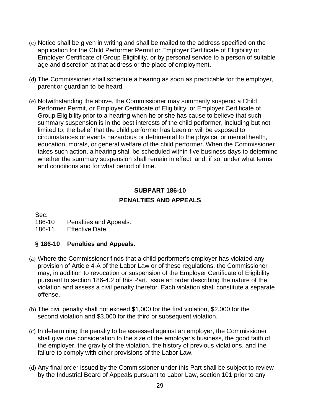- (c) Notice shall be given in writing and shall be mailed to the address specified on the application for the Child Performer Permit or Employer Certificate of Eligibility or Employer Certificate of Group Eligibility, or by personal service to a person of suitable age and discretion at that address or the place of employment.
- (d) The Commissioner shall schedule a hearing as soon as practicable for the employer, parent or guardian to be heard.
- (e) Notwithstanding the above, the Commissioner may summarily suspend a Child Performer Permit, or Employer Certificate of Eligibility, or Employer Certificate of Group Eligibility prior to a hearing when he or she has cause to believe that such summary suspension is in the best interests of the child performer, including but not limited to, the belief that the child performer has been or will be exposed to circumstances or events hazardous or detrimental to the physical or mental health, education, morals, or general welfare of the child performer. When the Commissioner takes such action, a hearing shall be scheduled within five business days to determine whether the summary suspension shall remain in effect, and, if so, under what terms and conditions and for what period of time.

## **SUBPART 186-10 PENALTIES AND APPEALS**

Sec.

- 186-10 Penalties and Appeals.
- 186-11 Effective Date.

## **§ 186-10 Penalties and Appeals.**

- (a) Where the Commissioner finds that a child performer's employer has violated any provision of Article 4-A of the Labor Law or of these regulations, the Commissioner may, in addition to revocation or suspension of the Employer Certificate of Eligibility pursuant to section 186-4.2 of this Part, issue an order describing the nature of the violation and assess a civil penalty therefor. Each violation shall constitute a separate offense.
- (b) The civil penalty shall not exceed \$1,000 for the first violation, \$2,000 for the second violation and \$3,000 for the third or subsequent violation.
- (c) In determining the penalty to be assessed against an employer, the Commissioner shall give due consideration to the size of the employer's business, the good faith of the employer, the gravity of the violation, the history of previous violations, and the failure to comply with other provisions of the Labor Law.
- (d) Any final order issued by the Commissioner under this Part shall be subject to review by the Industrial Board of Appeals pursuant to Labor Law, section 101 prior to any